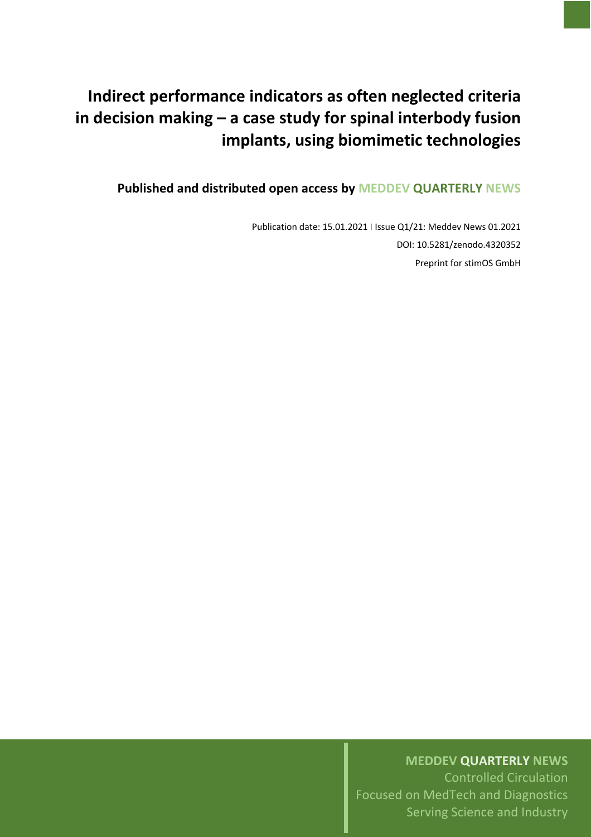# **Indirect performance indicators as often neglected criteria in decision making – a case study for spinal interbody fusion implants, using biomimetic technologies**

**Published and distributed open access by MEDDEV QUARTERLY NEWS**

Publication date: 15.01.2021 I Issue Q1/21: Meddev News 01.2021 DOI: 10.5281/zenodo.4320352 Preprint for stimOS GmbH

# **MEDDEV QUARTERLY NEWS**

Controlled Circulation Focused on MedTech and Diagnostics Serving Science and Industry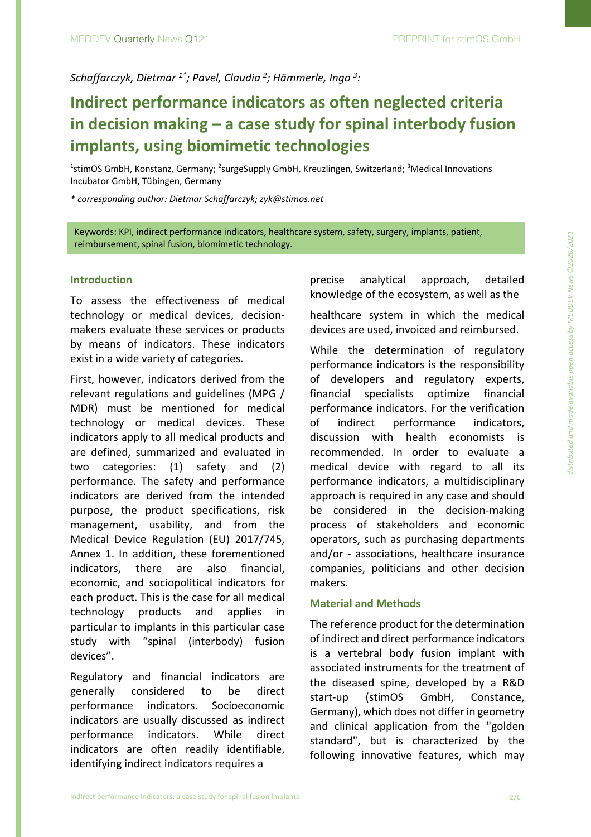*Schaffarczyk, Dietmar 1\*; Pavel, Claudia <sup>2</sup> ; Hämmerle, Ingo 3 :*

# **Indirect performance indicators as often neglected criteria in decision making – a case study for spinal interbody fusion implants, using biomimetic technologies**

<sup>1</sup>stimOS GmbH, Konstanz, Germany; <sup>2</sup>surgeSupply GmbH, Kreuzlingen, Switzerland; <sup>3</sup>Medical Innovations Incubator GmbH, Tübingen, Germany

*\* corresponding author: Dietmar Schaffarczyk; zyk@stimos.net*

Keywords: KPI, indirect performance indicators, healthcare system, safety, surgery, implants, patient, reimbursement, spinal fusion, biomimetic technology.

### **Introduction**

To assess the effectiveness of medical technology or medical devices, decisionmakers evaluate these services or products by means of indicators. These indicators exist in a wide variety of categories.

First, however, indicators derived from the relevant regulations and guidelines (MPG / MDR) must be mentioned for medical technology or medical devices. These indicators apply to all medical products and are defined, summarized and evaluated in two categories: (1) safety and (2) performance. The safety and performance indicators are derived from the intended purpose, the product specifications, risk management, usability, and from the Medical Device Regulation (EU) 2017/745, Annex 1. In addition, these forementioned indicators, there are also financial, economic, and sociopolitical indicators for each product. This is the case for all medical technology products and applies in particular to implants in this particular case study with "spinal (interbody) fusion devices".

Regulatory and financial indicators are generally considered to be direct performance indicators. Socioeconomic indicators are usually discussed as indirect performance indicators. While direct indicators are often readily identifiable, identifying indirect indicators requires a

precise analytical approach, detailed knowledge of the ecosystem, as well as the

healthcare system in which the medical devices are used, invoiced and reimbursed.

While the determination of regulatory performance indicators is the responsibility of developers and regulatory experts, financial specialists optimize financial performance indicators. For the verification of indirect performance indicators, discussion with health economists is recommended. In order to evaluate a medical device with regard to all its performance indicators, a multidisciplinary approach is required in any case and should be considered in the decision-making process of stakeholders and economic operators, such as purchasing departments and/or - associations, healthcare insurance companies, politicians and other decision makers.

# **Material and Methods**

The reference product for the determination of indirect and direct performance indicators is a vertebral body fusion implant with associated instruments for the treatment of the diseased spine, developed by a R&D start-up (stimOS GmbH, Constance, Germany), which does not differ in geometry and clinical application from the "golden standard", but is characterized by the following innovative features, which may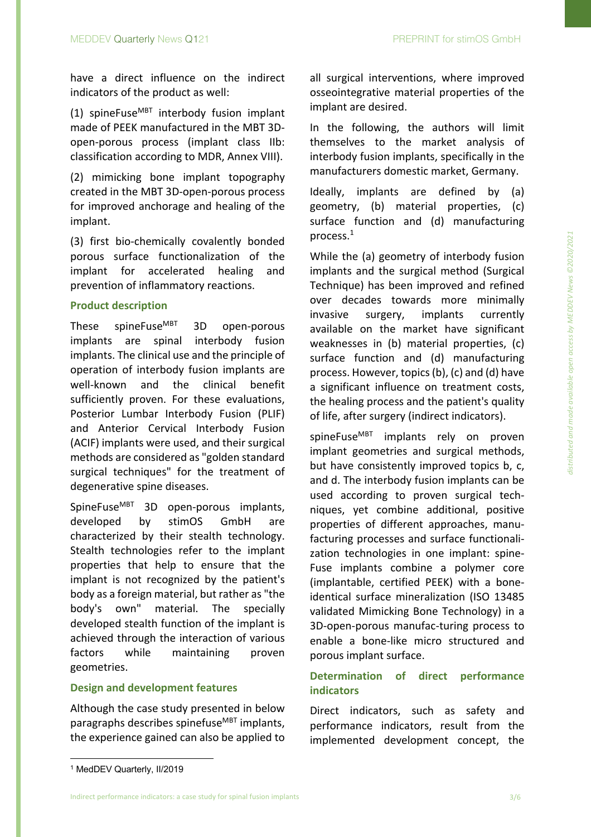have a direct influence on the indirect indicators of the product as well:

(1) spineFuse $^{MBT}$  interbody fusion implant made of PEEK manufactured in the MBT 3Dopen-porous process (implant class IIb: classification according to MDR, Annex VIII).

(2) mimicking bone implant topography created in the MBT 3D-open-porous process for improved anchorage and healing of the implant.

(3) first bio-chemically covalently bonded porous surface functionalization of the implant for accelerated healing and prevention of inflammatory reactions.

# **Product description**

These spineFuse $^{MBT}$  3D open-porous implants are spinal interbody fusion implants. The clinical use and the principle of operation of interbody fusion implants are well-known and the clinical benefit sufficiently proven. For these evaluations, Posterior Lumbar Interbody Fusion (PLIF) and Anterior Cervical Interbody Fusion (ACIF) implants were used, and their surgical methods are considered as "golden standard surgical techniques" for the treatment of degenerative spine diseases.

SpineFuse<sup>MBT</sup> 3D open-porous implants, developed by stimOS GmbH are characterized by their stealth technology. Stealth technologies refer to the implant properties that help to ensure that the implant is not recognized by the patient's body as a foreign material, but rather as "the body's own" material. The specially developed stealth function of the implant is achieved through the interaction of various factors while maintaining proven geometries.

# **Design and development features**

Although the case study presented in below paragraphs describes spinefuse<sup>MBT</sup> implants, the experience gained can also be applied to all surgical interventions, where improved osseointegrative material properties of the implant are desired.

In the following, the authors will limit themselves to the market analysis of interbody fusion implants, specifically in the manufacturers domestic market, Germany.

Ideally, implants are defined by (a) geometry, (b) material properties, (c) surface function and (d) manufacturing process. $^1$ 

While the (a) geometry of interbody fusion implants and the surgical method (Surgical Technique) has been improved and refined over decades towards more minimally invasive surgery, implants currently available on the market have significant weaknesses in (b) material properties, (c) surface function and (d) manufacturing process. However, topics(b), (c) and (d) have a significant influence on treatment costs, the healing process and the patient's quality of life, after surgery (indirect indicators).

spineFuse<sup>MBT</sup> implants rely on proven implant geometries and surgical methods, but have consistently improved topics b, c, and d. The interbody fusion implants can be used according to proven surgical techniques, yet combine additional, positive properties of different approaches, manufacturing processes and surface functionalization technologies in one implant: spine-Fuse implants combine a polymer core (implantable, certified PEEK) with a boneidentical surface mineralization (ISO 13485 validated Mimicking Bone Technology) in a 3D-open-porous manufac-turing process to enable a bone-like micro structured and porous implant surface.

# **Determination of direct performance indicators**

Direct indicators, such as safety and performance indicators, result from the implemented development concept, the

Indirect performance indicators: a case study for spinal fusion implants 3/6

<sup>1</sup> MedDEV Quarterly, II/2019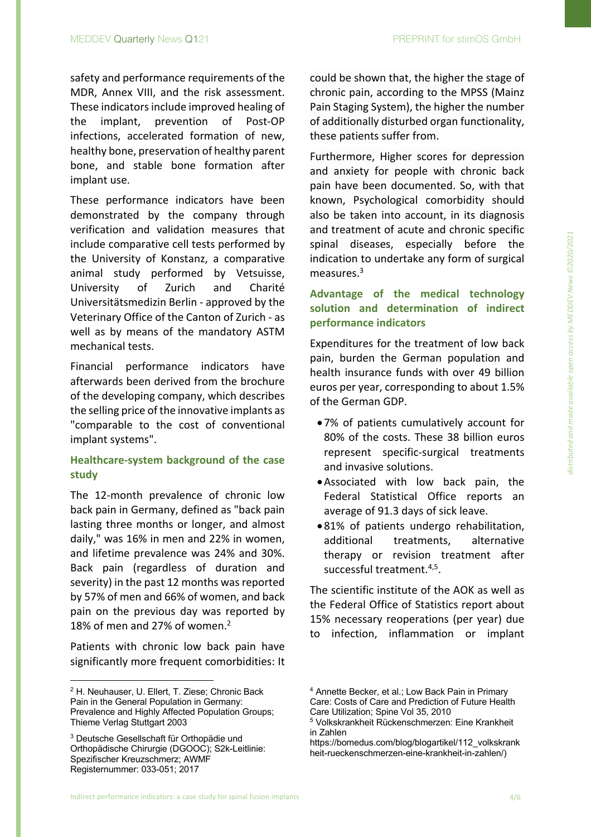safety and performance requirements of the MDR, Annex VIII, and the risk assessment. These indicators include improved healing of the implant, prevention of Post-OP infections, accelerated formation of new, healthy bone, preservation of healthy parent bone, and stable bone formation after implant use.

These performance indicators have been demonstrated by the company through verification and validation measures that include comparative cell tests performed by the University of Konstanz, a comparative animal study performed by Vetsuisse, University of Zurich and Charité Universitätsmedizin Berlin - approved by the Veterinary Office of the Canton of Zurich - as well as by means of the mandatory ASTM mechanical tests.

Financial performance indicators have afterwards been derived from the brochure of the developing company, which describes the selling price of the innovative implants as "comparable to the cost of conventional implant systems".

# **Healthcare-system background of the case study**

The 12-month prevalence of chronic low back pain in Germany, defined as "back pain lasting three months or longer, and almost daily," was 16% in men and 22% in women, and lifetime prevalence was 24% and 30%. Back pain (regardless of duration and severity) in the past 12 months was reported by 57% of men and 66% of women, and back pain on the previous day was reported by 18% of men and 27% of women. 2

Patients with chronic low back pain have significantly more frequent comorbidities: It could be shown that, the higher the stage of chronic pain, according to the MPSS (Mainz Pain Staging System), the higher the number of additionally disturbed organ functionality, these patients suffer from.

Furthermore, Higher scores for depression and anxiety for people with chronic back pain have been documented. So, with that known, Psychological comorbidity should also be taken into account, in its diagnosis and treatment of acute and chronic specific spinal diseases, especially before the indication to undertake any form of surgical measures.<sup>3</sup>

# **Advantage of the medical technology solution and determination of indirect performance indicators**

Expenditures for the treatment of low back pain, burden the German population and health insurance funds with over 49 billion euros per year, corresponding to about 1.5% of the German GDP.

- •7% of patients cumulatively account for 80% of the costs. These 38 billion euros represent specific-surgical treatments and invasive solutions.
- •Associated with low back pain, the Federal Statistical Office reports an average of 91.3 days of sick leave.
- •81% of patients undergo rehabilitation, additional treatments, alternative therapy or revision treatment after successful treatment.4,5.

The scientific institute of the AOK as well as the Federal Office of Statistics report about 15% necessary reoperations (per year) due to infection, inflammation or implant

<sup>2</sup> H. Neuhauser, U. Ellert, T. Ziese; Chronic Back Pain in the General Population in Germany: Prevalence and Highly Affected Population Groups; Thieme Verlag Stuttgart 2003

<sup>3</sup> Deutsche Gesellschaft für Orthopädie und Orthopädische Chirurgie (DGOOC); S2k-Leitlinie: Spezifischer Kreuzschmerz; AWMF Registernummer: 033-051; 2017

<sup>4</sup> Annette Becker, et al.; Low Back Pain in Primary Care: Costs of Care and Prediction of Future Health Care Utilization; Spine Vol 35, 2010

<sup>5</sup> Volkskrankheit Rückenschmerzen: Eine Krankheit in Zahlen

https://bomedus.com/blog/blogartikel/112\_volkskrank heit-rueckenschmerzen-eine-krankheit-in-zahlen/)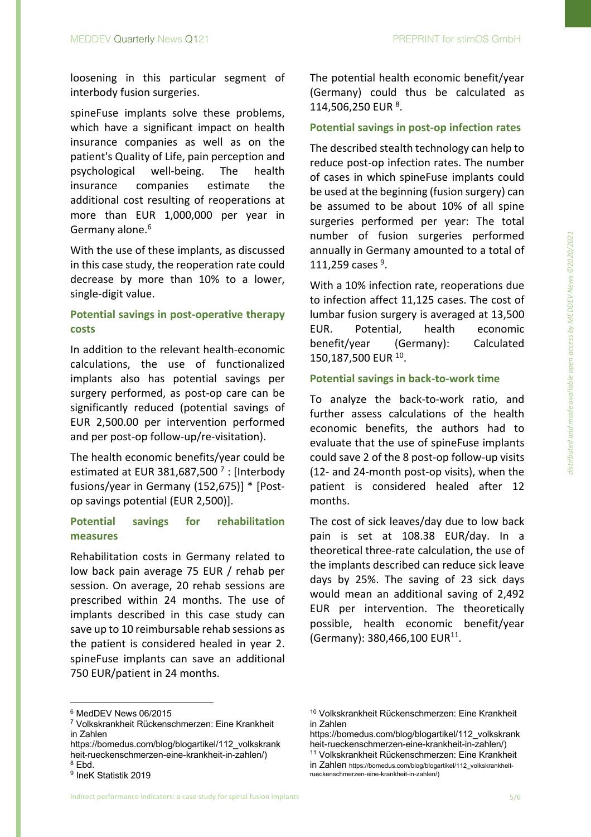loosening in this particular segment of interbody fusion surgeries.

spineFuse implants solve these problems, which have a significant impact on health insurance companies as well as on the patient's Quality of Life, pain perception and psychological well-being. The health insurance companies estimate the additional cost resulting of reoperations at more than EUR 1,000,000 per year in Germany alone.<sup>6</sup>

With the use of these implants, as discussed in this case study, the reoperation rate could decrease by more than 10% to a lower, single-digit value.

# **Potential savings in post-operative therapy costs**

In addition to the relevant health-economic calculations, the use of functionalized implants also has potential savings per surgery performed, as post-op care can be significantly reduced (potential savings of EUR 2,500.00 per intervention performed and per post-op follow-up/re-visitation).

The health economic benefits/year could be estimated at EUR 381,687,500 $^7$  : [Interbody fusions/year in Germany (152,675)] \* [Postop savings potential (EUR 2,500)].

# **Potential savings for rehabilitation measures**

Rehabilitation costs in Germany related to low back pain average 75 EUR / rehab per session. On average, 20 rehab sessions are prescribed within 24 months. The use of implants described in this case study can save up to 10 reimbursable rehab sessions as the patient is considered healed in year 2. spineFuse implants can save an additional 750 EUR/patient in 24 months.

The potential health economic benefit/year (Germany) could thus be calculated as 114,506,250 EUR<sup>8</sup>.

# **Potential savings in post-op infection rates**

The described stealth technology can help to reduce post-op infection rates. The number of cases in which spineFuse implants could be used at the beginning (fusion surgery) can be assumed to be about 10% of all spine surgeries performed per year: The total number of fusion surgeries performed annually in Germany amounted to a total of 111,259 cases  $9.$ 

With a 10% infection rate, reoperations due to infection affect 11,125 cases. The cost of lumbar fusion surgery is averaged at 13,500 EUR. Potential, health economic benefit/year (Germany): Calculated 150,187,500 EUR 10.

#### **Potential savings in back-to-work time**

To analyze the back-to-work ratio, and further assess calculations of the health economic benefits, the authors had to evaluate that the use of spineFuse implants could save 2 of the 8 post-op follow-up visits (12- and 24-month post-op visits), when the patient is considered healed after 12 months.

The cost of sick leaves/day due to low back pain is set at 108.38 EUR/day. In a theoretical three-rate calculation, the use of the implants described can reduce sick leave days by 25%. The saving of 23 sick days would mean an additional saving of 2,492 EUR per intervention. The theoretically possible, health economic benefit/year (Germany): 380,466,100 EUR11.

<sup>6</sup> MedDEV News 06/2015

<sup>7</sup> Volkskrankheit Rückenschmerzen: Eine Krankheit in Zahlen

https://bomedus.com/blog/blogartikel/112\_volkskrank heit-rueckenschmerzen-eine-krankheit-in-zahlen/) <sup>8</sup> Ebd.

<sup>9</sup> IneK Statistik 2019

<sup>10</sup> Volkskrankheit Rückenschmerzen: Eine Krankheit in Zahlen

https://bomedus.com/blog/blogartikel/112\_volkskrank heit-rueckenschmerzen-eine-krankheit-in-zahlen/)

<sup>11</sup> Volkskrankheit Rückenschmerzen: Eine Krankheit in Zahlen https://bomedus.com/blog/blogartikel/112\_volkskrankheitrueckenschmerzen-eine-krankheit-in-zahlen/)